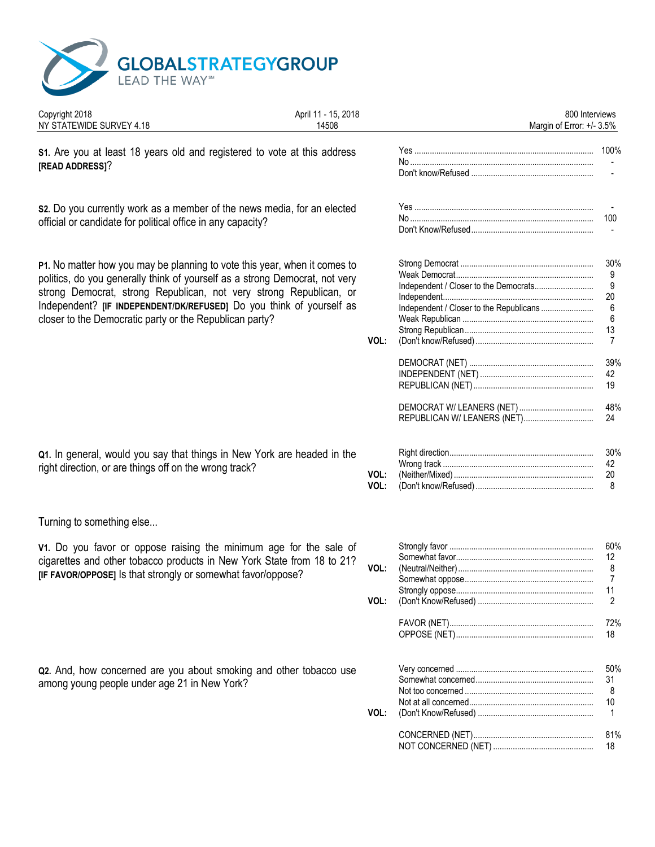

| April 11 - 15, 2018<br>14508                                              |                                                                                                                                                                                                                                                                                                                                                                                                                                                                         |              | 800 Interviews                                           |
|---------------------------------------------------------------------------|-------------------------------------------------------------------------------------------------------------------------------------------------------------------------------------------------------------------------------------------------------------------------------------------------------------------------------------------------------------------------------------------------------------------------------------------------------------------------|--------------|----------------------------------------------------------|
| \$1. Are you at least 18 years old and registered to vote at this address |                                                                                                                                                                                                                                                                                                                                                                                                                                                                         |              |                                                          |
|                                                                           |                                                                                                                                                                                                                                                                                                                                                                                                                                                                         |              |                                                          |
| s2. Do you currently work as a member of the news media, for an elected   |                                                                                                                                                                                                                                                                                                                                                                                                                                                                         |              | 100                                                      |
|                                                                           |                                                                                                                                                                                                                                                                                                                                                                                                                                                                         |              | $\sim$                                                   |
| P1. No matter how you may be planning to vote this year, when it comes to |                                                                                                                                                                                                                                                                                                                                                                                                                                                                         |              | 30%<br>9                                                 |
|                                                                           |                                                                                                                                                                                                                                                                                                                                                                                                                                                                         |              | 9                                                        |
| Independent? [IF INDEPENDENT/DK/REFUSED] Do you think of yourself as      |                                                                                                                                                                                                                                                                                                                                                                                                                                                                         |              | 20<br>6                                                  |
|                                                                           |                                                                                                                                                                                                                                                                                                                                                                                                                                                                         |              | 6<br>13                                                  |
|                                                                           | VOL:                                                                                                                                                                                                                                                                                                                                                                                                                                                                    |              | $\overline{7}$                                           |
|                                                                           |                                                                                                                                                                                                                                                                                                                                                                                                                                                                         |              | 39%                                                      |
|                                                                           |                                                                                                                                                                                                                                                                                                                                                                                                                                                                         |              | 42<br>19                                                 |
|                                                                           |                                                                                                                                                                                                                                                                                                                                                                                                                                                                         |              | 48%                                                      |
|                                                                           |                                                                                                                                                                                                                                                                                                                                                                                                                                                                         |              | 24                                                       |
| Q1. In general, would you say that things in New York are headed in the   |                                                                                                                                                                                                                                                                                                                                                                                                                                                                         |              | 30%                                                      |
| right direction, or are things off on the wrong track?                    |                                                                                                                                                                                                                                                                                                                                                                                                                                                                         |              | 42<br>20                                                 |
|                                                                           | VOL:                                                                                                                                                                                                                                                                                                                                                                                                                                                                    |              | 8                                                        |
|                                                                           |                                                                                                                                                                                                                                                                                                                                                                                                                                                                         |              |                                                          |
|                                                                           |                                                                                                                                                                                                                                                                                                                                                                                                                                                                         |              | 60%                                                      |
| cigarettes and other tobacco products in New York State from 18 to 21?    |                                                                                                                                                                                                                                                                                                                                                                                                                                                                         |              | 12                                                       |
| [IF FAVOR/OPPOSE] Is that strongly or somewhat favor/oppose?              |                                                                                                                                                                                                                                                                                                                                                                                                                                                                         |              | 8<br>7                                                   |
|                                                                           |                                                                                                                                                                                                                                                                                                                                                                                                                                                                         |              | 11                                                       |
|                                                                           | VOL:                                                                                                                                                                                                                                                                                                                                                                                                                                                                    |              |                                                          |
|                                                                           |                                                                                                                                                                                                                                                                                                                                                                                                                                                                         |              | 72%<br>18                                                |
|                                                                           |                                                                                                                                                                                                                                                                                                                                                                                                                                                                         |              | 50%                                                      |
|                                                                           |                                                                                                                                                                                                                                                                                                                                                                                                                                                                         |              | 31                                                       |
|                                                                           |                                                                                                                                                                                                                                                                                                                                                                                                                                                                         |              | 8                                                        |
|                                                                           | VOL:                                                                                                                                                                                                                                                                                                                                                                                                                                                                    |              | 10<br>$\overline{1}$                                     |
|                                                                           |                                                                                                                                                                                                                                                                                                                                                                                                                                                                         |              | 81%<br>18                                                |
|                                                                           | official or candidate for political office in any capacity?<br>politics, do you generally think of yourself as a strong Democrat, not very<br>strong Democrat, strong Republican, not very strong Republican, or<br>closer to the Democratic party or the Republican party?<br>V1. Do you favor or oppose raising the minimum age for the sale of<br>Q2. And, how concerned are you about smoking and other tobacco use<br>among young people under age 21 in New York? | VOL:<br>VOL: | Margin of Error: +/- 3.5%<br>REPUBLICAN W/ LEANERS (NET) |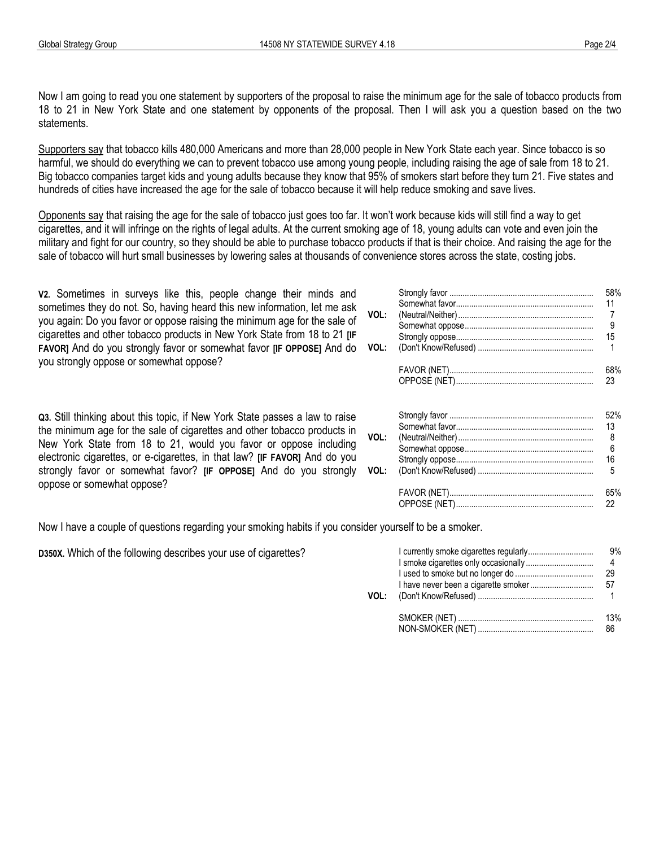Now I am going to read you one statement by supporters of the proposal to raise the minimum age for the sale of tobacco products from 18 to 21 in New York State and one statement by opponents of the proposal. Then I will ask you a question based on the two statements.

Supporters say that tobacco kills 480,000 Americans and more than 28,000 people in New York State each year. Since tobacco is so harmful, we should do everything we can to prevent tobacco use among young people, including raising the age of sale from 18 to 21. Big tobacco companies target kids and young adults because they know that 95% of smokers start before they turn 21. Five states and hundreds of cities have increased the age for the sale of tobacco because it will help reduce smoking and save lives.

Opponents say that raising the age for the sale of tobacco just goes too far. It won't work because kids will still find a way to get cigarettes, and it will infringe on the rights of legal adults. At the current smoking age of 18, young adults can vote and even join the military and fight for our country, so they should be able to purchase tobacco products if that is their choice. And raising the age for the sale of tobacco will hurt small businesses by lowering sales at thousands of convenience stores across the state, costing jobs.

**V2.** Sometimes in surveys like this, people change their minds and sometimes they do not. So, having heard this new information, let me ask you again: Do you favor or oppose raising the minimum age for the sale of cigarettes and other tobacco products in New York State from 18 to 21 **[IF FAVOR]** And do you strongly favor or somewhat favor **[IF OPPOSE]** And do you strongly oppose or somewhat oppose?

**Q3.** Still thinking about this topic, if New York State passes a law to raise the minimum age for the sale of cigarettes and other tobacco products in New York State from 18 to 21, would you favor or oppose including electronic cigarettes, or e-cigarettes, in that law? **[IF FAVOR]** And do you strongly favor or somewhat favor? **[IF OPPOSE]** And do you strongly oppose or somewhat oppose?

Somewhat favor................................................................................................ 11 ......................................................................................... **VOL:** (Neutral/Neither)................................................................................................ 7 ........................................................................................ Somewhat oppose................................................................................................ 9 ..................................................................................... Strongly oppose................................................................................................ 15 ......................................................................................... **VOL:** (Don't Know/Refused) ................................................................ 1 ............................................................................................................... FAVOR (NET)................................................................................................ 68% ............................................................................................ OPPOSE (NET)................................................................................................ 23 ......................................................................................... Strongly favor ................................................................................................ 52% ............................................................................................ Somewhat favor................................................................................................ 13 ......................................................................................... **VOL:** (Neutral/Neither)................................................................................................ 8 ........................................................................................ Somewhat oppose................................................................................................ 6 ..................................................................................... Strongly oppose................................................................................................ 16 ......................................................................................... **VOL:** (Don't Know/Refused) ................................................................ 5 ............................................................................................................... FAVOR (NET)................................................................................................ 65% ............................................................................................ OPPOSE (NET)................................................................................................ 22 .........................................................................................

Strongly favor ................................................................................................ 58% ............................................................................................

Now I have a couple of questions regarding your smoking habits if you consider yourself to be a smoker.

D350X. Which of the following describes your use of cigarettes?

| VOL: |                   | 9%        |  |
|------|-------------------|-----------|--|
|      | NON-SMOKER (NET). | 13%<br>86 |  |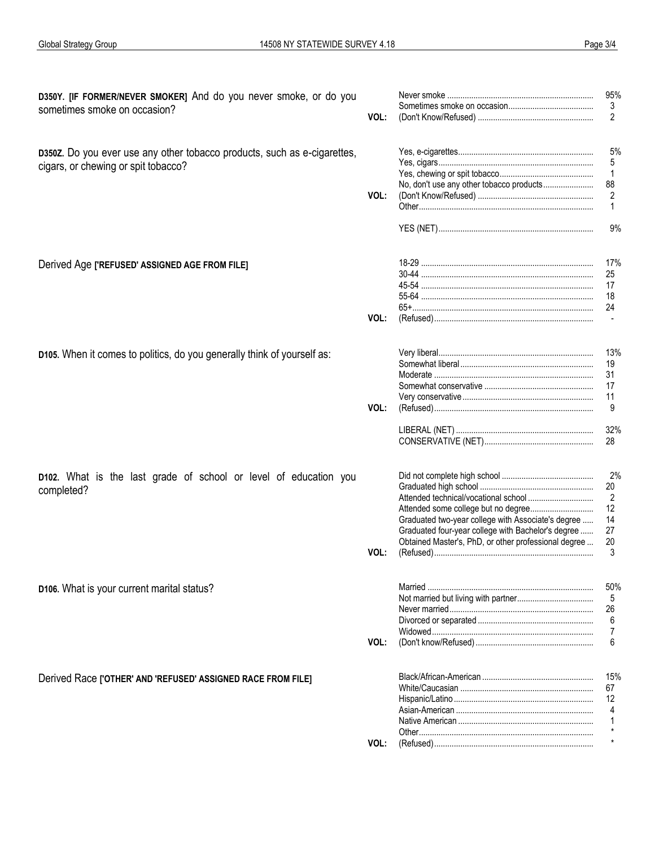| D350Y. [IF FORMER/NEVER SMOKER] And do you never smoke, or do you<br>sometimes smoke on occasion?               | VOL: |                                                                                                                                                                  | 95%<br>3<br>2                              |
|-----------------------------------------------------------------------------------------------------------------|------|------------------------------------------------------------------------------------------------------------------------------------------------------------------|--------------------------------------------|
| D350Z. Do you ever use any other tobacco products, such as e-cigarettes,<br>cigars, or chewing or spit tobacco? | VOL: |                                                                                                                                                                  | 5%<br>5<br>$\mathbf{1}$<br>88<br>2         |
|                                                                                                                 |      |                                                                                                                                                                  | 9%                                         |
| Derived Age ['REFUSED' ASSIGNED AGE FROM FILE]                                                                  |      | 65+………………………………………………………………………                                                                                                                                   | 17%<br>25<br>17<br>18<br>24                |
|                                                                                                                 | VOL: |                                                                                                                                                                  |                                            |
| D105. When it comes to politics, do you generally think of yourself as:                                         | VOL: |                                                                                                                                                                  | 13%<br>19<br>-31<br>17<br>-11<br>9         |
|                                                                                                                 |      |                                                                                                                                                                  | 32%<br>28                                  |
| D102. What is the last grade of school or level of education you<br>completed?                                  | VOL: | Graduated two-year college with Associate's degree<br>Graduated four-year college with Bachelor's degree<br>Obtained Master's, PhD, or other professional degree | 2%<br>20<br>2<br>12<br>14<br>27<br>20<br>3 |
| D106. What is your current marital status?                                                                      | VOL: |                                                                                                                                                                  | 50%<br>5<br>26<br>6<br>7<br>6              |
| Derived Race ['OTHER' AND 'REFUSED' ASSIGNED RACE FROM FILE]                                                    |      |                                                                                                                                                                  | 15%<br>67                                  |
|                                                                                                                 |      |                                                                                                                                                                  | 12<br>4                                    |
|                                                                                                                 | VOL: |                                                                                                                                                                  |                                            |